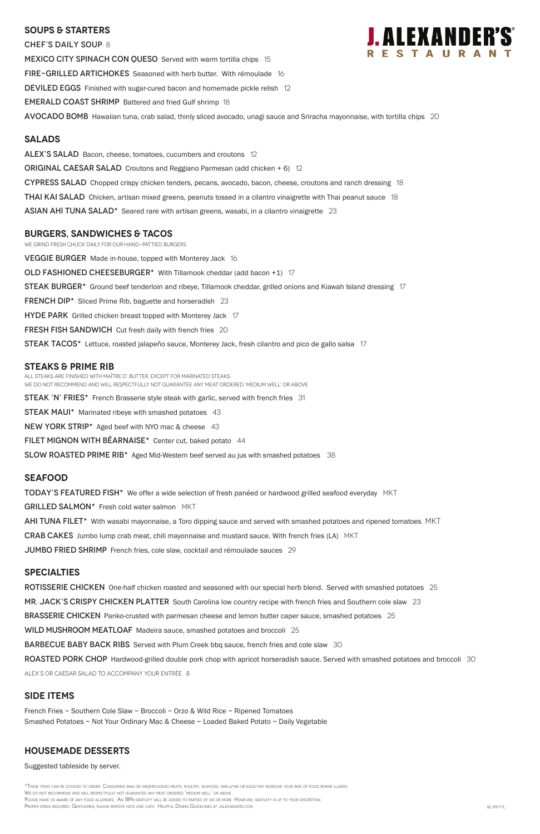## **SOUPS & Starters**

CHEF'S DAILY SOUP 8 MEXICO CITY SPINACH CON QUESO Served with warm tortilla chips 15 FIRE-GRILLED ARTICHOKES Seasoned with herb butter. With rémoulade 16 DEVILED EGGS Finished with sugar-cured bacon and homemade pickle relish 12 EMERALD COAST SHRIMP Battered and fried Gulf shrimp 18 AVOCADO BOMB Hawaiian tuna, crab salad, thinly sliced avocado, unagi sauce and Sriracha mayonnaise, with tortilla chips 20

### **Salads**

ALEX'S SALAD Bacon, cheese, tomatoes, cucumbers and croutons 12

**ORIGINAL CAESAR SALAD** Croutons and Reggiano Parmesan (add chicken  $+ 6$ ) 12

CYPRESS SALAD Chopped crispy chicken tenders, pecans, avocado, bacon, cheese, croutons and ranch dressing 18

**THAI KAI SALAD** Chicken, artisan mixed greens, peanuts tossed in a cilantro vinaigrette with Thai peanut sauce 18

ASIAN AHI TUNA SALAD $*$  Seared rare with artisan greens, wasabi, in a cilantro vinaigrette 23

## **burgers, Sandwiches & tacos**

We grind fresh chuck daily for our hand-pattied burgers.

VEGGIE BURGER Made in-house, topped with Monterey Jack 16

OLD FASHIONED CHEESEBURGER<sup>\*</sup> With Tillamook cheddar (add bacon +1) 17

STEAK BURGER<sup>\*</sup> Ground beef tenderloin and ribeye, Tillamook cheddar, grilled onions and Kiawah Island dressing 17

FRENCH DIP<sup>\*</sup> Sliced Prime Rib, baguette and horseradish 23

**HYDE PARK** Grilled chicken breast topped with Monterey Jack 17

**FRESH FISH SANDWICH** Cut fresh daily with french fries 20

STEAK TACOS<sup>\*</sup> Lettuce, roasted jalapeño sauce, Monterey Jack, fresh cilantro and pico de gallo salsa 17

### **STEAKS & Prime Rib**

All steaks are finished with Maître d' butter, except for marinated steaks. We do not recommend and will respectfully not guarantee any meat ordered 'medium well' or above.

**STEAK 'N' FRIES\*** French Brasserie style steak with garlic, served with french fries 31

**STEAK MAUI\*** Marinated ribeye with smashed potatoes 43

NEW YORK STRIP\* Aged beef with NYO mac & cheese 43

FILET MIGNON WITH BÉARNAISE\* Center cut, baked potato 44

**SLOW ROASTED PRIME RIB**<sup>\*</sup> Aged Mid-Western beef served au jus with smashed potatoes  $38$ 

\*These items can be cooked to order. Consuming raw or undercooked meats, poultry, seafood, shellfish or eggs may increase your risk of food borne illness. We do not recommend and will respectfully not guarantee any meat ordered 'medium well' or above. PLEASE MAKE US AWARE OF ANY FOOD ALLERGIES. AN 18% GRATUITY WILL BE ADDED TO PARTIES OF SIX OR MORE. HOWEVER, GRATUITY IS UP TO YOUR DISCRETION. PROPER DRESS REQUIRED. GENTLEMEN, PLEASE REMOVE HATS AND CAPS. HELPFUL DINING GUIDELINES AT JALEXANDERS.COM. RL/PP FTL PP FTL PP FTL PP FTL PP FTL PP FTL PP FTL PP FTL PP FTL PP FTL PP FTL PP FTL PP FTL PP FTL PP FTL PP FT

## **Seafood**

**TODAY'S FEATURED FISH\*** We offer a wide selection of fresh panéed or hardwood grilled seafood everyday MKT

GRILLED SALMON\* Fresh cold water salmon MKT

AHI TUNA FILET<sup>\*</sup> With wasabi mayonnaise, a Toro dipping sauce and served with smashed potatoes and ripened tomatoes MKT

**CRAB CAKES** Jumbo lump crab meat, chili mayonnaise and mustard sauce. With french fries (LA) MKT

JUMBO FRIED SHRIMP French fries, cole slaw, cocktail and rémoulade sauces 29

## **specialties**

ROTISSERIE CHICKEN One-half chicken roasted and seasoned with our special herb blend. Served with smashed potatoes 25

MR. JACK'S CRISPY CHICKEN PLATTER South Carolina low country recipe with french fries and Southern cole slaw 23



BRASSERIE CHICKEN Panko-crusted with parmesan cheese and lemon butter caper sauce, smashed potatoes 25

WILD MUSHROOM MEATLOAF Madeira sauce, smashed potatoes and broccoli 25

BARBECUE BABY BACK RIBS Served with Plum Creek bbq sauce, french fries and cole slaw 30

ROASTED PORK CHOP Hardwood-grilled double pork chop with apricot horseradish sauce. Served with smashed potatoes and broccoli 30

ALEX's or Caesar salad to accompany your entrée 8

## **SIDE ITEMS**

French Fries ~ Southern Cole Slaw ~ Broccoli ~ Orzo & Wild Rice ~ Ripened Tomatoes Smashed Potatoes ~ Not Your Ordinary Mac & Cheese ~ Loaded Baked Potato ~ Daily Vegetable

## **Housemade DESSERTS**

Suggested tableside by server.